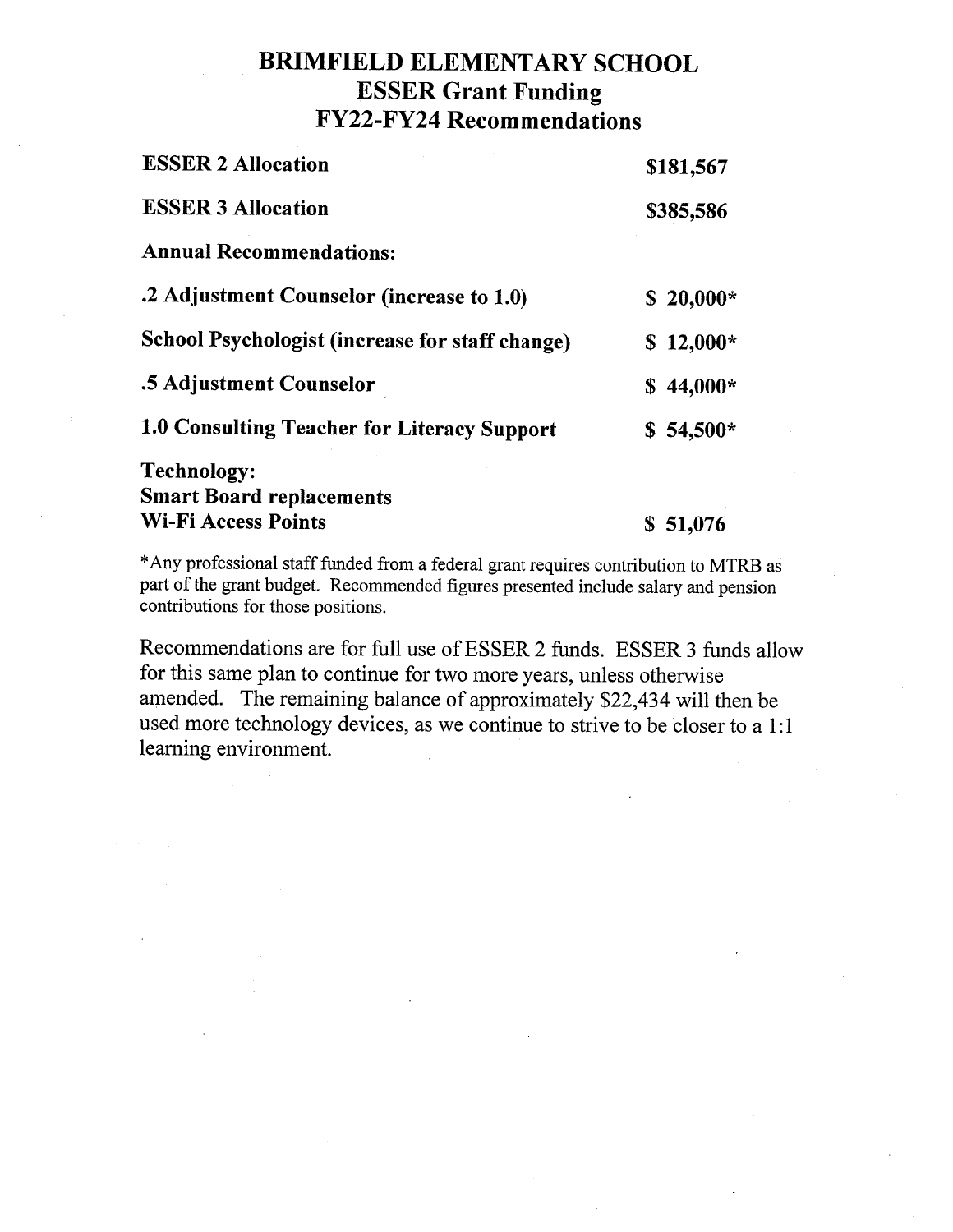## **BRIMFIELD ELEMENTARY SCHOOL ESSER Grant Funding FY22-FY24 Recommendations**

| <b>ESSER 2 Allocation</b>                       | \$181,567  |
|-------------------------------------------------|------------|
| <b>ESSER 3 Allocation</b>                       | \$385,586  |
| <b>Annual Recommendations:</b>                  |            |
| .2 Adjustment Counselor (increase to 1.0)       | $$20,000*$ |
| School Psychologist (increase for staff change) | $$12,000*$ |
| .5 Adjustment Counselor                         | $$44,000*$ |
| 1.0 Consulting Teacher for Literacy Support     | $$54,500*$ |
| <b>Technology:</b>                              |            |
| <b>Smart Board replacements</b>                 |            |
| Wi-Fi Access Points                             | \$51,076   |

\*Any professional staff funded from a federal grant requires contribution to MTRB as part of the grant budget. Recommended figures presented include salary and pension contributions for those positions.

Recommendations are for full use of ESSER 2 funds. ESSER 3 funds allow for this same plan to continue for two more years, unless otherwise amended. The remaining balance of approximately \$22,434 will then be used more technology devices, as we continue to strive to be closer to a 1:1 learning environment.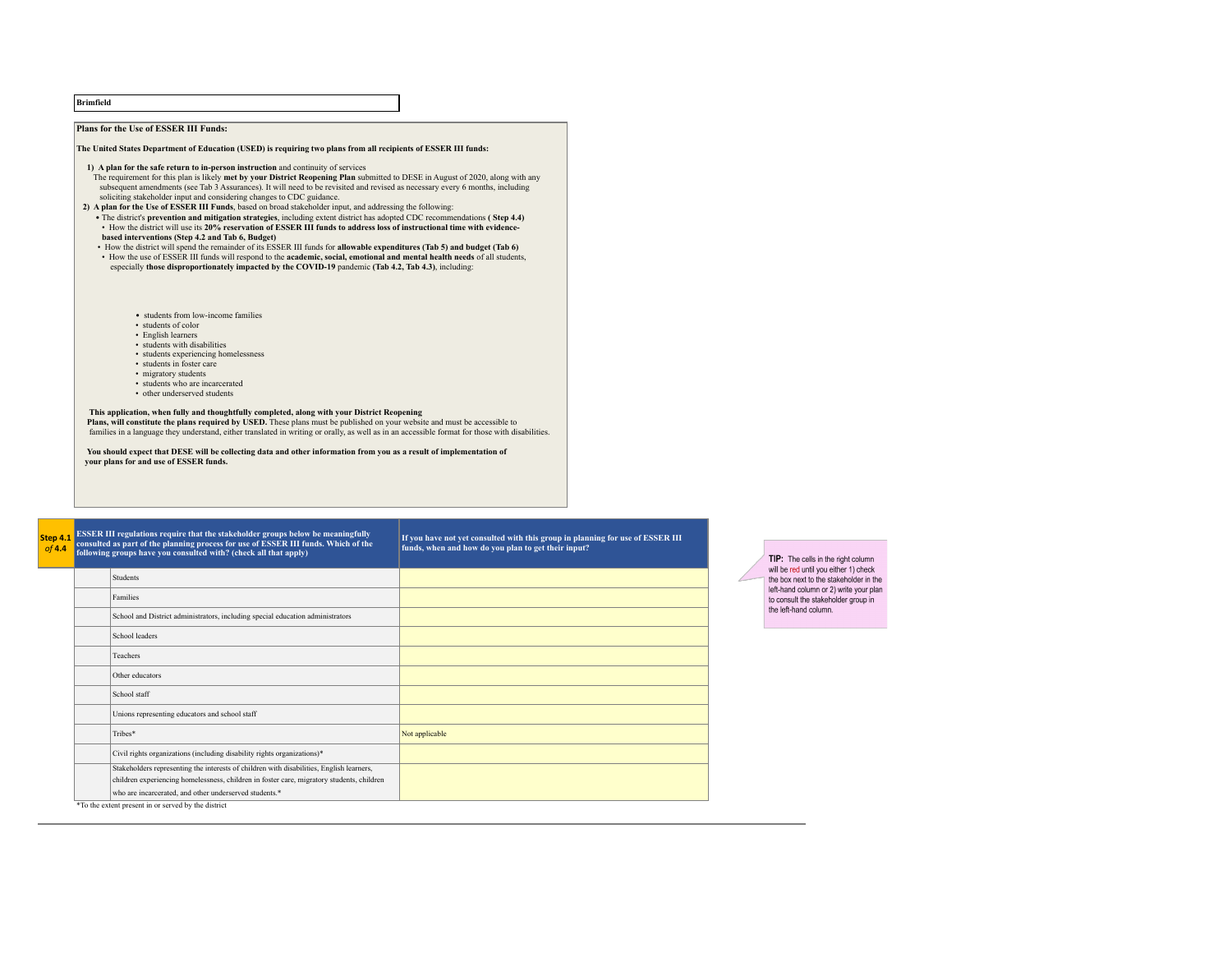| <b>Brimfield</b> |                                                                                                                                                                                                                                                                                                                                                                                                                                                                                                                                                                                                                                                                                                                                                                                                                                                                                                                                                                                                                                                                                                                                                                                                                            |                                                                                                                                       |  |                                                                               |
|------------------|----------------------------------------------------------------------------------------------------------------------------------------------------------------------------------------------------------------------------------------------------------------------------------------------------------------------------------------------------------------------------------------------------------------------------------------------------------------------------------------------------------------------------------------------------------------------------------------------------------------------------------------------------------------------------------------------------------------------------------------------------------------------------------------------------------------------------------------------------------------------------------------------------------------------------------------------------------------------------------------------------------------------------------------------------------------------------------------------------------------------------------------------------------------------------------------------------------------------------|---------------------------------------------------------------------------------------------------------------------------------------|--|-------------------------------------------------------------------------------|
|                  | <b>Plans for the Use of ESSER III Funds:</b>                                                                                                                                                                                                                                                                                                                                                                                                                                                                                                                                                                                                                                                                                                                                                                                                                                                                                                                                                                                                                                                                                                                                                                               |                                                                                                                                       |  |                                                                               |
|                  | The United States Department of Education (USED) is requiring two plans from all recipients of ESSER III funds:                                                                                                                                                                                                                                                                                                                                                                                                                                                                                                                                                                                                                                                                                                                                                                                                                                                                                                                                                                                                                                                                                                            |                                                                                                                                       |  |                                                                               |
|                  | 1) A plan for the safe return to in-person instruction and continuity of services<br>The requirement for this plan is likely met by your District Reopening Plan submitted to DESE in August of 2020, along with any<br>subsequent amendments (see Tab 3 Assurances). It will need to be revisited and revised as necessary every 6 months, including<br>soliciting stakeholder input and considering changes to CDC guidance.<br>2) A plan for the Use of ESSER III Funds, based on broad stakeholder input, and addressing the following:<br>• The district's prevention and mitigation strategies, including extent district has adopted CDC recommendations (Step 4.4)<br>• How the district will use its 20% reservation of ESSER III funds to address loss of instructional time with evidence-<br>based interventions (Step 4.2 and Tab 6, Budget)<br>• How the district will spend the remainder of its ESSER III funds for allowable expenditures (Tab 5) and budget (Tab 6)<br>• How the use of ESSER III funds will respond to the academic, social, emotional and mental health needs of all students,<br>especially those disproportionately impacted by the COVID-19 pandemic (Tab 4.2, Tab 4.3), including: |                                                                                                                                       |  |                                                                               |
|                  | • students from low-income families<br>• students of color<br>• English learners<br>• students with disabilities<br>• students experiencing homelessness<br>• students in foster care<br>• migratory students<br>· students who are incarcerated<br>• other underserved students<br>This application, when fully and thoughtfully completed, along with your District Reopening<br>Plans, will constitute the plans required by USED. These plans must be published on your website and must be accessible to<br>families in a language they understand, either translated in writing or orally, as well as in an accessible format for those with disabilities.<br>You should expect that DESE will be collecting data and other information from you as a result of implementation of<br>your plans for and use of ESSER funds.                                                                                                                                                                                                                                                                                                                                                                                          |                                                                                                                                       |  |                                                                               |
| Step 4.1         | ESSER III regulations require that the stakeholder groups below be meaningfully<br>consulted as part of the planning process for use of ESSER III funds. Which of the<br>following groups have you consulted with? (check all that apply)                                                                                                                                                                                                                                                                                                                                                                                                                                                                                                                                                                                                                                                                                                                                                                                                                                                                                                                                                                                  | If you have not yet consulted with this group in planning for use of ESSER III<br>funds, when and how do you plan to get their input? |  | TIP: The cells in the right column<br>will be red until you either 1) check   |
|                  | <b>Students</b>                                                                                                                                                                                                                                                                                                                                                                                                                                                                                                                                                                                                                                                                                                                                                                                                                                                                                                                                                                                                                                                                                                                                                                                                            |                                                                                                                                       |  | the box next to the stakeholder in the                                        |
|                  | Families                                                                                                                                                                                                                                                                                                                                                                                                                                                                                                                                                                                                                                                                                                                                                                                                                                                                                                                                                                                                                                                                                                                                                                                                                   |                                                                                                                                       |  | left-hand column or 2) write your plan<br>to consult the stakeholder group in |
|                  | School and District administrators, including special education administrators                                                                                                                                                                                                                                                                                                                                                                                                                                                                                                                                                                                                                                                                                                                                                                                                                                                                                                                                                                                                                                                                                                                                             |                                                                                                                                       |  | the left-hand column.                                                         |
|                  | School leaders                                                                                                                                                                                                                                                                                                                                                                                                                                                                                                                                                                                                                                                                                                                                                                                                                                                                                                                                                                                                                                                                                                                                                                                                             |                                                                                                                                       |  |                                                                               |

Teachers Other educators School staff

Unions representing educators and school staff

Civil rights organizations (including disability rights organizations)\* Stakeholders representing the interests of children with disabilities, English learners, children experiencing homelessness, children in foster care, migratory students, children

who are incarcerated, and other underserved students.\*

\*To the extent present in or served by the district

Tribes<sup>\*</sup> Not applicable not a set of the set of the set of the set of the set of the set of the set of the set of the set of the set of the set of the set of the set of the set of the set of the set of the set of the set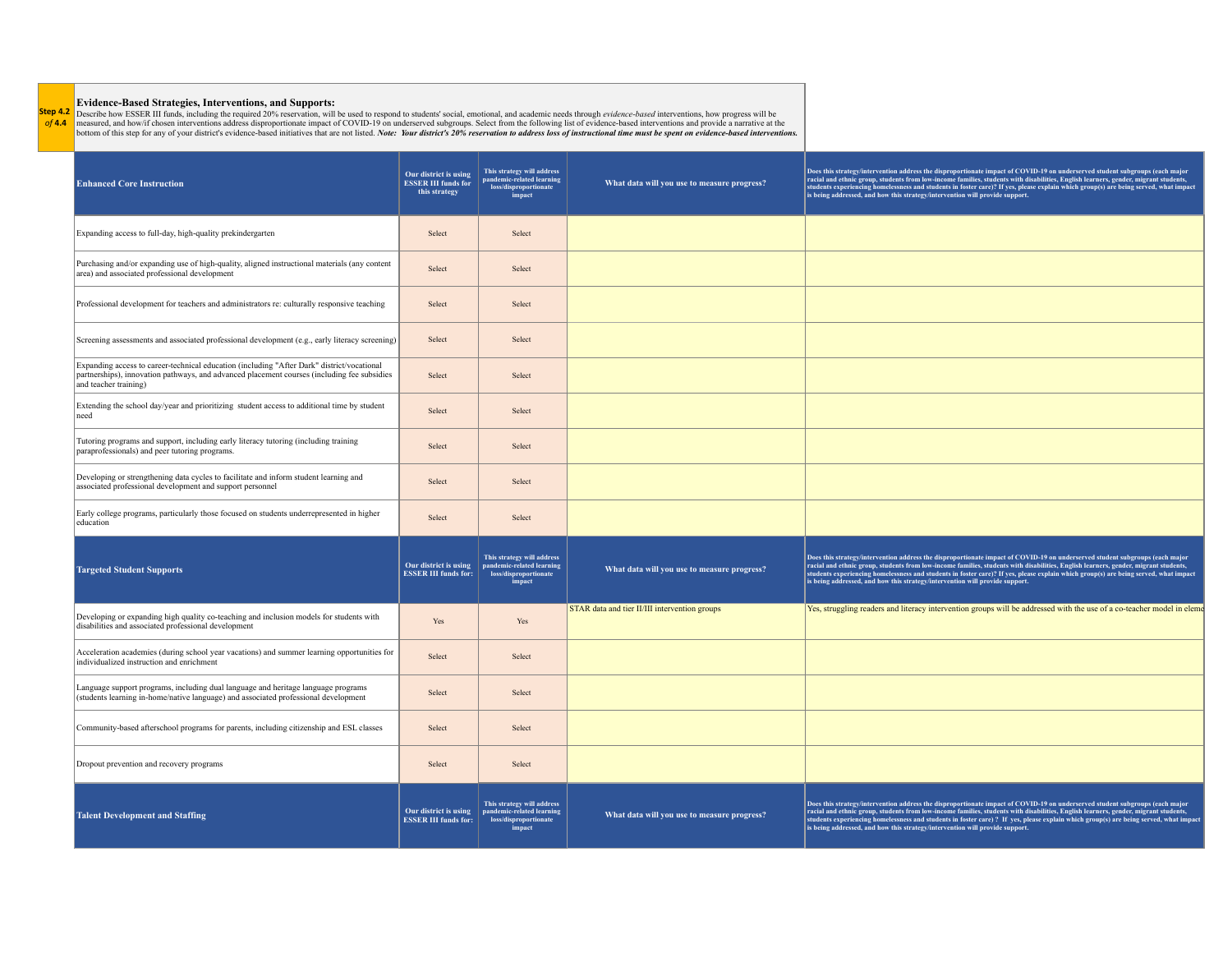**Step 4.2** *of* **4.4 Evidence-Based Strategies, Interventions, and Supports:**<br>Describe how ESSER III funds, including the required 20% reservation, will be used to respond to students' social, emotional, and academic needs through *evidence-b* 

| <b>Enhanced Core Instruction</b>                                                                                                                                                                                   | Our district is using<br><b>ESSER III funds for</b><br>this strategy | This strategy will address<br>pandemic-related learning<br>loss/disproportionate<br>impact | What data will you use to measure progress?   | Does this strategy/intervention address the disproportionate impact of COVID-19 on underserved student subgroups (each major<br>racial and ethnic group, students from low-income families, students with disabilities, English learners, gender, migrant students,<br>students experiencing homelessness and students in foster care)? If yes, please explain which group(s) are being served, what impact<br>is being addressed, and how this strategy/intervention will provide support.  |
|--------------------------------------------------------------------------------------------------------------------------------------------------------------------------------------------------------------------|----------------------------------------------------------------------|--------------------------------------------------------------------------------------------|-----------------------------------------------|----------------------------------------------------------------------------------------------------------------------------------------------------------------------------------------------------------------------------------------------------------------------------------------------------------------------------------------------------------------------------------------------------------------------------------------------------------------------------------------------|
| Expanding access to full-day, high-quality prekindergarten                                                                                                                                                         | Select                                                               | Select                                                                                     |                                               |                                                                                                                                                                                                                                                                                                                                                                                                                                                                                              |
| Purchasing and/or expanding use of high-quality, aligned instructional materials (any content<br>area) and associated professional development                                                                     | Select                                                               | Select                                                                                     |                                               |                                                                                                                                                                                                                                                                                                                                                                                                                                                                                              |
| Professional development for teachers and administrators re: culturally responsive teaching                                                                                                                        | Select                                                               | Select                                                                                     |                                               |                                                                                                                                                                                                                                                                                                                                                                                                                                                                                              |
| Screening assessments and associated professional development (e.g., early literacy screening)                                                                                                                     | Select                                                               | Select                                                                                     |                                               |                                                                                                                                                                                                                                                                                                                                                                                                                                                                                              |
| Expanding access to career-technical education (including "After Dark" district/vocational<br>partnerships), innovation pathways, and advanced placement courses (including fee subsidies<br>and teacher training) | Select                                                               | Select                                                                                     |                                               |                                                                                                                                                                                                                                                                                                                                                                                                                                                                                              |
| Extending the school day/year and prioritizing student access to additional time by student<br>need                                                                                                                | Select                                                               | Select                                                                                     |                                               |                                                                                                                                                                                                                                                                                                                                                                                                                                                                                              |
| Tutoring programs and support, including early literacy tutoring (including training<br>paraprofessionals) and peer tutoring programs.                                                                             | Select                                                               | Select                                                                                     |                                               |                                                                                                                                                                                                                                                                                                                                                                                                                                                                                              |
| Developing or strengthening data cycles to facilitate and inform student learning and<br>associated professional development and support personnel                                                                 | Select                                                               | Select                                                                                     |                                               |                                                                                                                                                                                                                                                                                                                                                                                                                                                                                              |
| Early college programs, particularly those focused on students underrepresented in higher<br>education                                                                                                             | Select                                                               | Select                                                                                     |                                               |                                                                                                                                                                                                                                                                                                                                                                                                                                                                                              |
| <b>Targeted Student Supports</b>                                                                                                                                                                                   | Our district is using<br><b>ESSER III funds for:</b>                 | This strategy will address<br>pandemic-related learning<br>loss/disproportionate<br>impact | What data will you use to measure progress?   | Does this strategy/intervention address the disproportionate impact of COVID-19 on underserved student subgroups (each major racial and ethnic group, students from low-income families, students with disabilities, English l<br>students experiencing homelessness and students in foster care)? If yes, please explain which group(s) are being served, what impact<br>is being addressed, and how this strategy/intervention will provide support.                                       |
| Developing or expanding high quality co-teaching and inclusion models for students with<br>disabilities and associated professional development                                                                    | Yes                                                                  | Yes                                                                                        | STAR data and tier II/III intervention groups | Yes, struggling readers and literacy intervention groups will be addressed with the use of a co-teacher model in eleme                                                                                                                                                                                                                                                                                                                                                                       |
| Acceleration academies (during school year vacations) and summer learning opportunities for<br>individualized instruction and enrichment                                                                           | Select                                                               | Select                                                                                     |                                               |                                                                                                                                                                                                                                                                                                                                                                                                                                                                                              |
| Language support programs, including dual language and heritage language programs<br>(students learning in-home/native language) and associated professional development                                           | Select                                                               | Select                                                                                     |                                               |                                                                                                                                                                                                                                                                                                                                                                                                                                                                                              |
| Community-based afterschool programs for parents, including citizenship and ESL classes                                                                                                                            | Select                                                               | Select                                                                                     |                                               |                                                                                                                                                                                                                                                                                                                                                                                                                                                                                              |
| Dropout prevention and recovery programs                                                                                                                                                                           | Select                                                               | Select                                                                                     |                                               |                                                                                                                                                                                                                                                                                                                                                                                                                                                                                              |
| <b>Talent Development and Staffing</b>                                                                                                                                                                             | Our district is using<br><b>ESSER III funds for:</b>                 | This strategy will address<br>pandemic-related learning<br>loss/disproportionate<br>impact | What data will you use to measure progress?   | Does this strategy/intervention address the disproportionate impact of COVID-19 on underserved student subgroups (each major<br>racial and ethnic group, students from low-income families, students with disabilities, English learners, gender, migrant students,<br>students experiencing homelessness and students in foster care) ? If yes, please explain which group(s) are being served, what impact<br>is being addressed, and how this strategy/intervention will provide support. |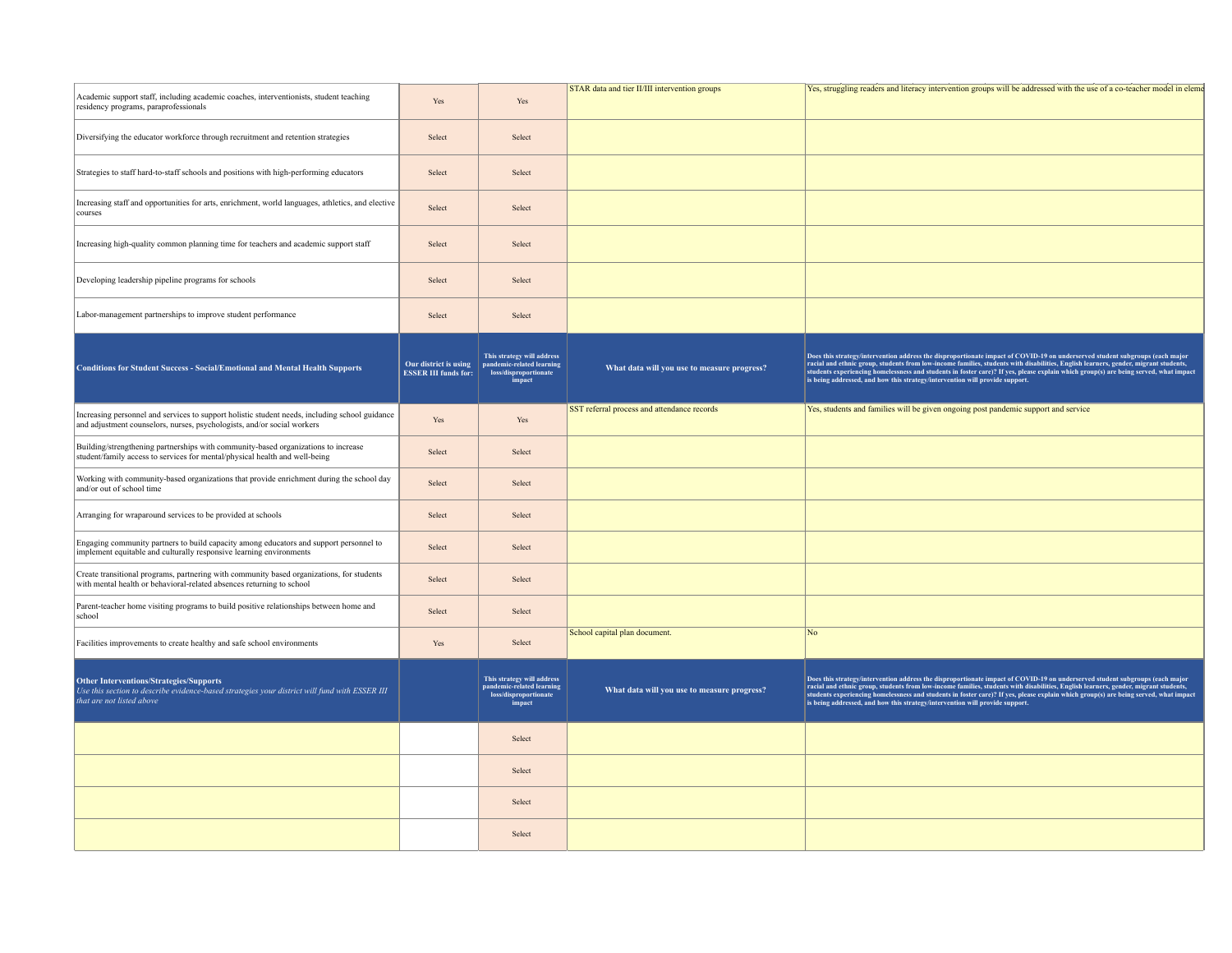| Academic support staff, including academic coaches, interventionists, student teaching<br>residency programs, paraprofessionals                                           | Yes                                                  | Yes                                                                                                      | STAR data and tier II/III intervention groups | Yes, struggling readers and literacy intervention groups will be addressed with the use of a co-teacher model in eleme                                                                                                                                                                                                                                                                                                                                                                      |
|---------------------------------------------------------------------------------------------------------------------------------------------------------------------------|------------------------------------------------------|----------------------------------------------------------------------------------------------------------|-----------------------------------------------|---------------------------------------------------------------------------------------------------------------------------------------------------------------------------------------------------------------------------------------------------------------------------------------------------------------------------------------------------------------------------------------------------------------------------------------------------------------------------------------------|
| Diversifying the educator workforce through recruitment and retention strategies                                                                                          | Select                                               | Select                                                                                                   |                                               |                                                                                                                                                                                                                                                                                                                                                                                                                                                                                             |
| Strategies to staff hard-to-staff schools and positions with high-performing educators                                                                                    | Select                                               | Select                                                                                                   |                                               |                                                                                                                                                                                                                                                                                                                                                                                                                                                                                             |
| Increasing staff and opportunities for arts, enrichment, world languages, athletics, and elective<br>courses                                                              | Select                                               | Select                                                                                                   |                                               |                                                                                                                                                                                                                                                                                                                                                                                                                                                                                             |
| Increasing high-quality common planning time for teachers and academic support staff                                                                                      | Select                                               | Select                                                                                                   |                                               |                                                                                                                                                                                                                                                                                                                                                                                                                                                                                             |
| Developing leadership pipeline programs for schools                                                                                                                       | Select                                               | Select                                                                                                   |                                               |                                                                                                                                                                                                                                                                                                                                                                                                                                                                                             |
| Labor-management partnerships to improve student performance                                                                                                              | Select                                               | Select                                                                                                   |                                               |                                                                                                                                                                                                                                                                                                                                                                                                                                                                                             |
| <b>Conditions for Student Success - Social/Emotional and Mental Health Supports</b>                                                                                       | Our district is using<br><b>ESSER III funds for:</b> | This strategy will address<br>pandemic-related learning<br>loss/disproportionate<br>impact               | What data will you use to measure progress?   | Does this strategy/intervention address the disproportionate impact of COVID-19 on underserved student subgroups (each major<br>racial and ethnic group, students from low-income families, students with disabilities, English learners, gender, migrant students,<br>students experiencing homelessness and students in foster care)? If yes, please explain which group(s) are being served, what impact<br>is being addressed, and how this strategy/intervention will provide support. |
| Increasing personnel and services to support holistic student needs, including school guidance<br>and adjustment counselors, nurses, psychologists, and/or social workers | Yes                                                  | Yes                                                                                                      | SST referral process and attendance records   | Yes, students and families will be given ongoing post pandemic support and service                                                                                                                                                                                                                                                                                                                                                                                                          |
| Building/strengthening partnerships with community-based organizations to increase<br>student/family access to services for mental/physical health and well-being         | Select                                               | Select                                                                                                   |                                               |                                                                                                                                                                                                                                                                                                                                                                                                                                                                                             |
| Working with community-based organizations that provide enrichment during the school day<br>and/or out of school time                                                     | Select                                               | Select                                                                                                   |                                               |                                                                                                                                                                                                                                                                                                                                                                                                                                                                                             |
| Arranging for wraparound services to be provided at schools                                                                                                               | Select                                               | Select                                                                                                   |                                               |                                                                                                                                                                                                                                                                                                                                                                                                                                                                                             |
| Engaging community partners to build capacity among educators and support personnel to<br>implement equitable and culturally responsive learning environments             | Select                                               | Select                                                                                                   |                                               |                                                                                                                                                                                                                                                                                                                                                                                                                                                                                             |
| Create transitional programs, partnering with community based organizations, for students<br>with mental health or behavioral-related absences returning to school        | Select                                               | Select                                                                                                   |                                               |                                                                                                                                                                                                                                                                                                                                                                                                                                                                                             |
| Parent-teacher home visiting programs to build positive relationships between home and<br>school                                                                          | Select                                               | Select                                                                                                   |                                               |                                                                                                                                                                                                                                                                                                                                                                                                                                                                                             |
| Facilities improvements to create healthy and safe school environments                                                                                                    | Yes                                                  | Select                                                                                                   | School capital plan document                  | No                                                                                                                                                                                                                                                                                                                                                                                                                                                                                          |
| Other Interventions/Strategies/Supports<br>Use this section to describe evidence-based strategies your district will fund with ESSER III<br>that are not listed above     |                                                      | This strategy will address<br>pandemic-related learning<br>$\noindent \underline{loss/disproportionate}$ | What data will you use to measure progress?   | Does this strategy/intervention address the disproportionate impact of COVID-19 on underserved student subgroups (each major racial and ethnic group, students from low-income families, students and ethnic group, students,<br>students experiencing homelessness and students in foster care)? If yes, please explain which group(s) are being served, what impact is being addressed, and how this strategy/intervention will provide support.                                          |
|                                                                                                                                                                           |                                                      | Select                                                                                                   |                                               |                                                                                                                                                                                                                                                                                                                                                                                                                                                                                             |
|                                                                                                                                                                           |                                                      | Select                                                                                                   |                                               |                                                                                                                                                                                                                                                                                                                                                                                                                                                                                             |
|                                                                                                                                                                           |                                                      | Select                                                                                                   |                                               |                                                                                                                                                                                                                                                                                                                                                                                                                                                                                             |
|                                                                                                                                                                           |                                                      | Select                                                                                                   |                                               |                                                                                                                                                                                                                                                                                                                                                                                                                                                                                             |